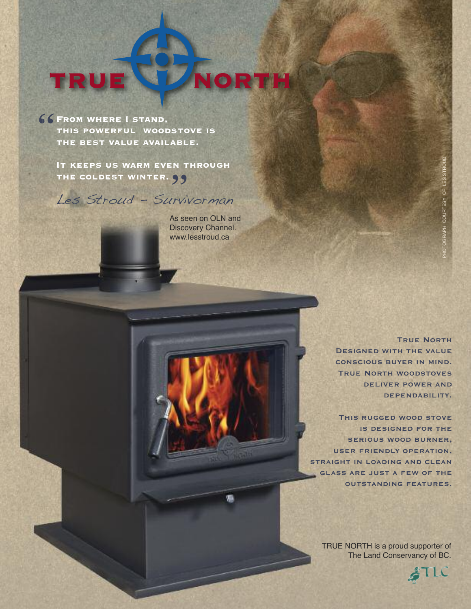## TRU  $\bullet$

From where I stand, this powerful woodstove is the best value available. **"**

> It keeps us warm even through the coldest winter. **ENT**<br>99

Les Stroud - Survivorman

As seen on OLN and Discovery Channel. www.lesstroud.ca

> **True North Designed with the value conscious buyer in mind. True North woodstoves deliver power and dependability.**

**This rugged wood stove is designed for the serious wood burner, user friendly operation, straight in loading and clean glass are just a few of the outstanding features.**

TRUE NORTH is a proud supporter of The Land Conservancy of BC.